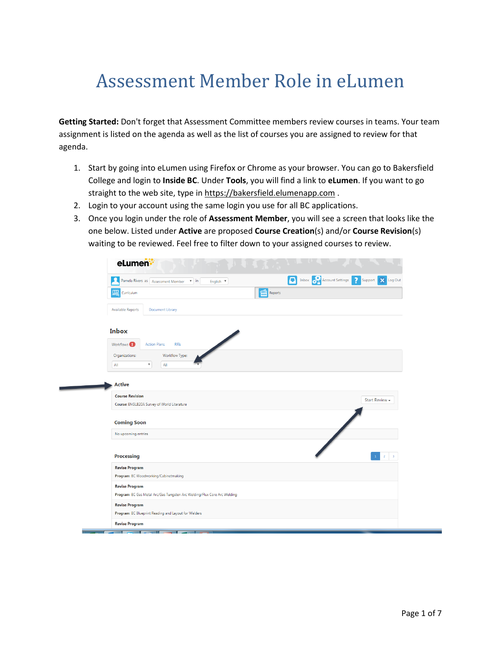## Assessment Member Role in eLumen

**Getting Started:** Don't forget that Assessment Committee members review courses in teams. Your team assignment is listed on the agenda as well as the list of courses you are assigned to review for that agenda.

- 1. Start by going into eLumen using Firefox or Chrome as your browser. You can go to Bakersfield College and login to **Inside BC**. Under **Tools**, you will find a link to **eLumen**. If you want to go straight to the web site, type in [https://bakersfield.elumenapp.com](https://bakersfield.elumenapp.com/).
- 2. Login to your account using the same login you use for all BC applications.
- 3. Once you login under the role of **Assessment Member**, you will see a screen that looks like the one below. Listed under **Active** are proposed **Course Creation**(s) and/or **Course Revision**(s) waiting to be reviewed. Feel free to filter down to your assigned courses to review.

| eLumen:                                                                                                                                    |                                               |
|--------------------------------------------------------------------------------------------------------------------------------------------|-----------------------------------------------|
| Inbox <b>Page Account Settings</b><br>$\overline{\mathbf{?}}$<br>A<br>Pamela Rivers as   Assessment Member<br>$\mathbf{v}$ in<br>English V | Log Out<br>$\overline{\mathbf{x}}$<br>Support |
| Reports<br>囑<br>Curriculum                                                                                                                 |                                               |
| <b>Available Reports</b><br><b>Document Library</b>                                                                                        |                                               |
| <b>Inbox</b>                                                                                                                               |                                               |
| Workflows <sup>1</sup><br><b>Action Plans</b><br><b>RFIs</b>                                                                               |                                               |
| Organizations:<br>Workflow Type:<br>$\overline{\mathbf{v}}$<br>All<br>All                                                                  |                                               |
| <b>Active</b>                                                                                                                              |                                               |
| <b>Course Revision</b><br>Course: ENGLB20A Survey of World Literature                                                                      | Start Review -                                |
| <b>Coming Soon</b>                                                                                                                         |                                               |
| No upcoming entries                                                                                                                        |                                               |
| <b>Processing</b>                                                                                                                          | $\overline{2}$<br>$\overline{\mathbf{3}}$     |
| <b>Revise Program</b><br>Program: BC Woodworking/Cabinetmaking                                                                             |                                               |
| <b>Revise Program</b>                                                                                                                      |                                               |
| Program: BC Gas Metal Arc/Gas Tungsten Arc Welding/Flux Core Arc Welding                                                                   |                                               |
| <b>Revise Program</b><br>Program: BC Blueprint Reading and Layout for Welders                                                              |                                               |
|                                                                                                                                            |                                               |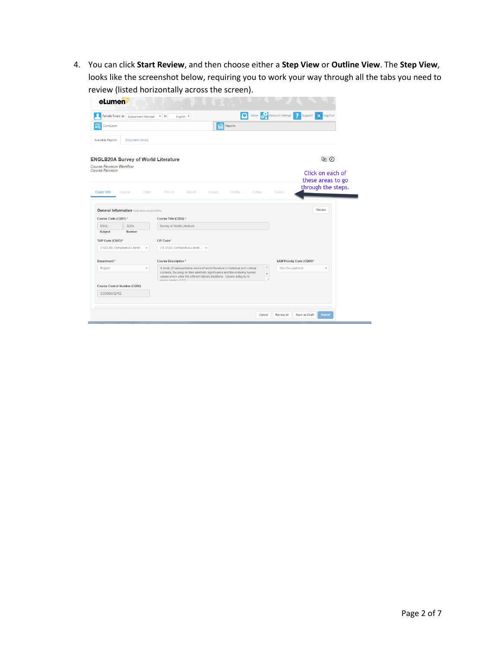4. You can click **Start Review**, and then choose either a **Step View** or **Outline View**. The **Step View**, looks like the screenshot below, requiring you to work your way through all the tabs you need to review (listed horizontally across the screen).

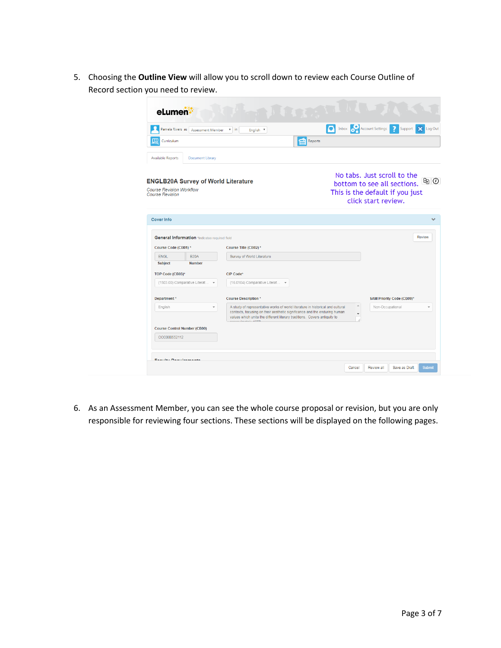5. Choosing the **Outline View** will allow you to scroll down to review each Course Outline of Record section you need to review.

|                                                                                                         |                  | $v$ in<br><b>Assessment Member</b><br>English <sup>v</sup>                                                                                                                                                                                                               |         | <b>The Inbox Account Settings</b><br>2<br>Support                                                                       |
|---------------------------------------------------------------------------------------------------------|------------------|--------------------------------------------------------------------------------------------------------------------------------------------------------------------------------------------------------------------------------------------------------------------------|---------|-------------------------------------------------------------------------------------------------------------------------|
| Curriculum                                                                                              |                  |                                                                                                                                                                                                                                                                          | Reports |                                                                                                                         |
| <b>Available Reports</b>                                                                                | Document Library |                                                                                                                                                                                                                                                                          |         |                                                                                                                         |
| <b>ENGLB20A Survey of World Literature</b><br><b>Course Revision Workflow</b><br><b>Course Revision</b> |                  |                                                                                                                                                                                                                                                                          |         | No tabs. Just scroll to the<br>bottom to see all sections. BO<br>This is the default if you just<br>click start review. |
| <b>Cover Info</b>                                                                                       |                  |                                                                                                                                                                                                                                                                          |         |                                                                                                                         |
|                                                                                                         |                  |                                                                                                                                                                                                                                                                          |         |                                                                                                                         |
| General Information *indicates required field<br>Course Code (CB01) *                                   |                  | Course Title (CB02) *                                                                                                                                                                                                                                                    |         | <b>Review</b>                                                                                                           |
| <b>ENGL</b>                                                                                             | <b>B20A</b>      | Survey of World Literature                                                                                                                                                                                                                                               |         |                                                                                                                         |
| <b>Subject</b>                                                                                          | <b>Number</b>    |                                                                                                                                                                                                                                                                          |         |                                                                                                                         |
| TOP Code (CB03)*                                                                                        |                  | CIP Code*                                                                                                                                                                                                                                                                |         |                                                                                                                         |
| (1503.00) Comparative Literat                                                                           |                  | (16.0104) Comparative Literat                                                                                                                                                                                                                                            |         |                                                                                                                         |
| Department*                                                                                             |                  | <b>Course Description*</b>                                                                                                                                                                                                                                               |         | SAM Priority Code (CB09)*                                                                                               |
| English                                                                                                 |                  | A study of representative works of world literature in historical and cultural<br>contexts, focusing on their aesthetic significance and the enduring human<br>values which unite the different literary traditions. Covers antiquity to<br><b>SALARA SERVICE AND TO</b> | A       | Non-Occupational                                                                                                        |
| <b>Course Control Number (CB00)</b><br>CCC000552112                                                     |                  |                                                                                                                                                                                                                                                                          |         |                                                                                                                         |

6. As an Assessment Member, you can see the whole course proposal or revision, but you are only responsible for reviewing four sections. These sections will be displayed on the following pages.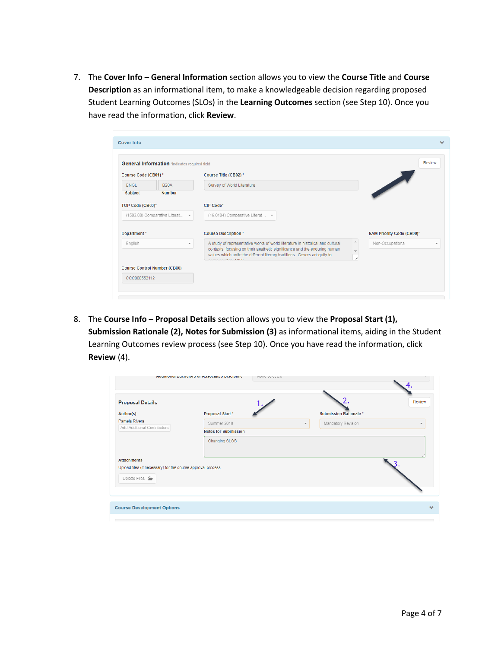7. The **Cover Info – General Information** section allows you to view the **Course Title** and **Course Description** as an informational item, to make a knowledgeable decision regarding proposed Student Learning Outcomes (SLOs) in the **Learning Outcomes** section (see Step 10). Once you have read the information, click **Review**.

|                                     | General Information *indicates required field |                                                                                                                                                                                           | <b>Review</b>             |
|-------------------------------------|-----------------------------------------------|-------------------------------------------------------------------------------------------------------------------------------------------------------------------------------------------|---------------------------|
| Course Code (CB01)*                 |                                               | Course Title (CB02)*                                                                                                                                                                      |                           |
| <b>ENGL</b>                         | <b>B20A</b>                                   | Survey of World Literature                                                                                                                                                                |                           |
| <b>Subject</b>                      | <b>Number</b>                                 |                                                                                                                                                                                           |                           |
| TOP Code (CB03)*                    |                                               | CIP Code*                                                                                                                                                                                 |                           |
| (1503.00) Comparative Literat -     |                                               | (16.0104) Comparative Literat ▼                                                                                                                                                           |                           |
| Department*                         |                                               | <b>Course Description*</b>                                                                                                                                                                | SAM Priority Code (CB09)* |
| English<br>$\overline{\phantom{a}}$ |                                               | ▲<br>A study of representative works of world literature in historical and cultural                                                                                                       | Non-Occupational          |
|                                     |                                               | contexts, focusing on their aesthetic significance and the enduring human<br>values which unite the different literary traditions. Covers antiquity to<br><b>Construction of the ACCO</b> |                           |
|                                     | <b>Course Control Number (CB00)</b>           |                                                                                                                                                                                           |                           |
| CCC000552112                        |                                               |                                                                                                                                                                                           |                           |

8. The **Course Info - Proposal Details** section allows you to view the **Proposal Start (1)**, **Submission Rationale (2), Notes for Submission (3)** as informational items, aiding in the Student Learning Outcomes review process (see Step 10). Once you have read the information, click **Review** (4).

|                                                                                       | unantional papiloista of usecondos presidium<br><b>ITUITU UUIUULUM</b> |                                               |                          |
|---------------------------------------------------------------------------------------|------------------------------------------------------------------------|-----------------------------------------------|--------------------------|
| <b>Proposal Details</b>                                                               |                                                                        |                                               | Review                   |
| Author(s)                                                                             | Proposal Start*                                                        | <b>Submission Rationale*</b>                  |                          |
| Pamela Rivers                                                                         | Summer 2018                                                            | Mandatory Revision<br>$\overline{\mathbf{v}}$ | $\overline{\phantom{a}}$ |
| Add Additional Contributors                                                           | <b>Notes for Submission</b>                                            |                                               |                          |
|                                                                                       | Changing SLOS                                                          |                                               |                          |
| <b>Attachments</b>                                                                    |                                                                        |                                               |                          |
| Upload files (if necessary) for the course approval process.<br>Upload Files <b>F</b> |                                                                        |                                               |                          |
|                                                                                       |                                                                        |                                               |                          |
| <b>Course Development Options</b>                                                     |                                                                        |                                               |                          |
|                                                                                       |                                                                        |                                               |                          |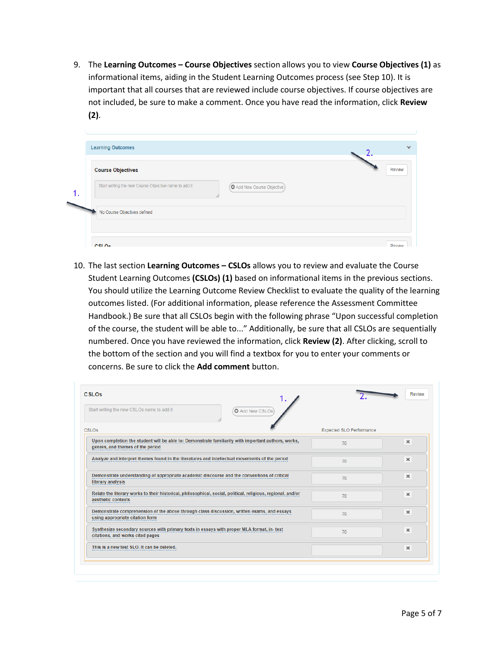9. The **Learning Outcomes – Course Objectives** section allows you to view **Course Objectives (1)** as informational items, aiding in the Student Learning Outcomes process (see Step 10). It is important that all courses that are reviewed include course objectives. If course objectives are not included, be sure to make a comment. Once you have read the information, click **Review (2)**.

| <b>Course Objectives</b>                              |                          | Review |
|-------------------------------------------------------|--------------------------|--------|
| Start writing the new Course Objective name to add it | Add New Course Objective |        |
| No Course Objectives defined                          |                          |        |

10. The last section **Learning Outcomes – CSLOs** allows you to review and evaluate the Course Student Learning Outcomes **(CSLOs) (1)** based on informational items in the previous sections. You should utilize the Learning Outcome Review Checklist to evaluate the quality of the learning outcomes listed. (For additional information, please reference the Assessment Committee Handbook.) Be sure that all CSLOs begin with the following phrase "Upon successful completion of the course, the student will be able to..." Additionally, be sure that all CSLOs are sequentially numbered. Once you have reviewed the information, click **Review (2)**. After clicking, scroll to the bottom of the section and you will find a textbox for you to enter your comments or concerns. Be sure to click the **Add comment** button.

| Start writing the new CSLOs name to add it<br>Add New CSLOs                                                                             |                                 |                |
|-----------------------------------------------------------------------------------------------------------------------------------------|---------------------------------|----------------|
| CSLOs                                                                                                                                   | <b>Expected SLO Performance</b> |                |
| Upon completion the student will be able to: Demonstrate familiarity with important authors, works,<br>genres, and themes of the period | 70                              | $\pmb{\times}$ |
| Analyze and interpret themes found in the literatures and intellectual movements of the period                                          | 70                              | $\pmb{\times}$ |
| Demonstrate understanding of appropriate academic discourse and the conventions of critical<br>literary analysis                        | 70                              | $\pmb{\times}$ |
| Relate the literary works to their historical, philosophical, social, political, religious, regional, and/or<br>aesthetic contexts      | 70                              | $\pmb{\times}$ |
| Demonstrate comprehension of the above through class discussion, written exams, and essays<br>using appropriate citation form           | 70                              | $\pmb{\times}$ |
| Synthesize secondary sources with primary texts in essays with proper MLA format, in- text<br>citations, and works cited pages          | 70                              | $\pmb{\times}$ |
| This is a new test SLO. It can be deleted.                                                                                              |                                 | $\pmb{\times}$ |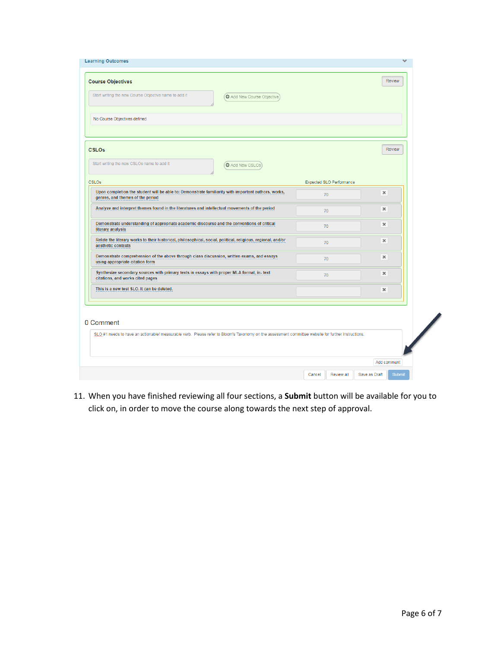| <b>Learning Outcomes</b>                                                                                                                                         |                                 |                                |
|------------------------------------------------------------------------------------------------------------------------------------------------------------------|---------------------------------|--------------------------------|
| <b>Course Objectives</b><br>Start writing the new Course Objective name to add it<br>Add New Course Objective                                                    |                                 | <b>Review</b>                  |
| No Course Objectives defined                                                                                                                                     |                                 |                                |
| <b>CSLOs</b><br>Start writing the new CSLOs name to add it<br>Add New CSLOs                                                                                      |                                 | <b>Review</b>                  |
| <b>CSLOs</b>                                                                                                                                                     | <b>Expected SLO Performance</b> |                                |
| Upon completion the student will be able to: Demonstrate familiarity with important authors, works,<br>genres, and themes of the period                          | 70                              | $\pmb{\times}$                 |
| Analyze and interpret themes found in the literatures and intellectual movements of the period                                                                   | 70                              | $\mathbf x$                    |
| Demonstrate understanding of appropriate academic discourse and the conventions of critical<br>literary analysis                                                 | 70                              | $\pmb{\times}$                 |
| Relate the literary works to their historical, philosophical, social, political, religious, regional, and/or<br>aesthetic contexts                               | 70                              | $\pmb{\times}$                 |
| Demonstrate comprehension of the above through class discussion, written exams, and essays<br>using appropriate citation form                                    | 70                              | $\pmb{\times}$                 |
| Synthesize secondary sources with primary texts in essays with proper MLA format, in- text<br>citations, and works cited pages                                   | 70                              | $\mathbf x$                    |
| This is a new test SLO. It can be deleted.                                                                                                                       |                                 | ×                              |
| 0 Comment<br>SLO #1 needs to have an actionable/ measurable verb. Please refer to Bloom's Taxonomy on the assessment committee website for further instructions. |                                 |                                |
|                                                                                                                                                                  |                                 | Add comment                    |
|                                                                                                                                                                  | Review all<br>Cancel            | Save as Draft<br><b>Submit</b> |

11. When you have finished reviewing all four sections, a **Submit** button will be available for you to click on, in order to move the course along towards the next step of approval.